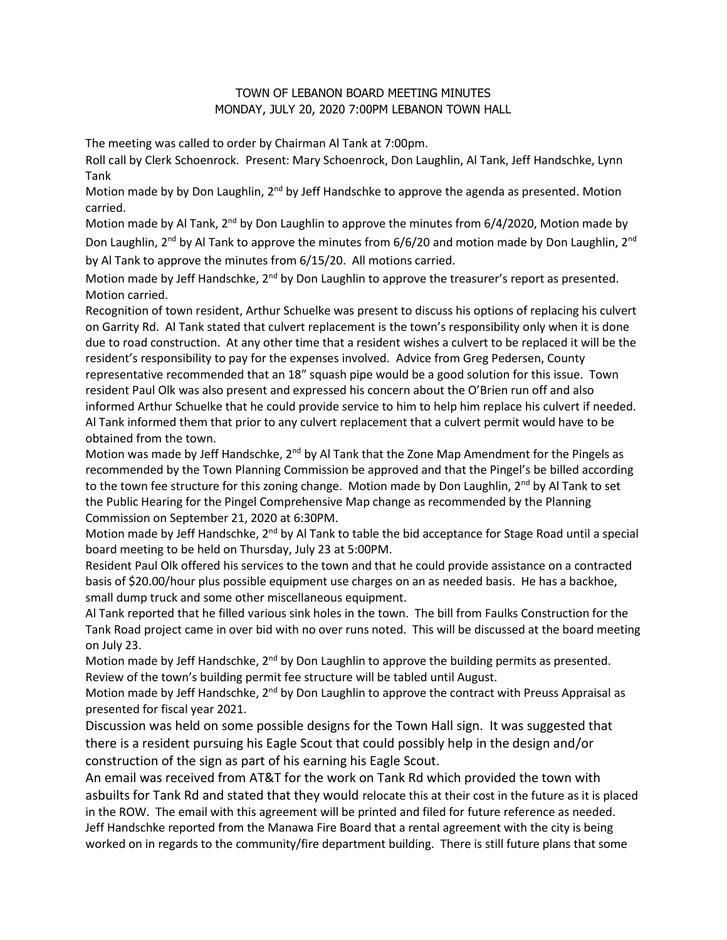## TOWN OF LEBANON BOARD MEETING MINUTES MONDAY, JULY 20, 2020 7:00PM LEBANON TOWN HALL

The meeting was called to order by Chairman Al Tank at 7:00pm.

Roll call by Clerk Schoenrock. Present: Mary Schoenrock, Don Laughlin, Al Tank, Jeff Handschke, Lynn Tank

Motion made by by Don Laughlin, 2<sup>nd</sup> by Jeff Handschke to approve the agenda as presented. Motion carried.

Motion made by Al Tank,  $2^{nd}$  by Don Laughlin to approve the minutes from 6/4/2020, Motion made by Don Laughlin,  $2^{nd}$  by Al Tank to approve the minutes from 6/6/20 and motion made by Don Laughlin,  $2^{nd}$ by Al Tank to approve the minutes from 6/15/20. All motions carried.

Motion made by Jeff Handschke, 2<sup>nd</sup> by Don Laughlin to approve the treasurer's report as presented. Motion carried.

Recognition of town resident, Arthur Schuelke was present to discuss his options of replacing his culvert on Garrity Rd. Al Tank stated that culvert replacement is the town's responsibility only when it is done due to road construction. At any other time that a resident wishes a culvert to be replaced it will be the resident's responsibility to pay for the expenses involved. Advice from Greg Pedersen, County representative recommended that an 18" squash pipe would be a good solution for this issue. Town resident Paul Olk was also present and expressed his concern about the O'Brien run off and also informed Arthur Schuelke that he could provide service to him to help him replace his culvert if needed. Al Tank informed them that prior to any culvert replacement that a culvert permit would have to be obtained from the town.

Motion was made by Jeff Handschke,  $2^{nd}$  by Al Tank that the Zone Map Amendment for the Pingels as recommended by the Town Planning Commission be approved and that the Pingel's be billed according to the town fee structure for this zoning change. Motion made by Don Laughlin,  $2^{nd}$  by Al Tank to set the Public Hearing for the Pingel Comprehensive Map change as recommended by the Planning Commission on September 21, 2020 at 6:30PM.

Motion made by Jeff Handschke, 2<sup>nd</sup> by Al Tank to table the bid acceptance for Stage Road until a special board meeting to be held on Thursday, July 23 at 5:00PM.

Resident Paul Olk offered his services to the town and that he could provide assistance on a contracted basis of \$20.00/hour plus possible equipment use charges on an as needed basis. He has a backhoe, small dump truck and some other miscellaneous equipment.

Al Tank reported that he filled various sink holes in the town. The bill from Faulks Construction for the Tank Road project came in over bid with no over runs noted. This will be discussed at the board meeting on July 23.

Motion made by Jeff Handschke, 2<sup>nd</sup> by Don Laughlin to approve the building permits as presented. Review of the town's building permit fee structure will be tabled until August.

Motion made by Jeff Handschke,  $2^{nd}$  by Don Laughlin to approve the contract with Preuss Appraisal as presented for fiscal year 2021.

Discussion was held on some possible designs for the Town Hall sign. It was suggested that there is a resident pursuing his Eagle Scout that could possibly help in the design and/or construction of the sign as part of his earning his Eagle Scout.

An email was received from AT&T for the work on Tank Rd which provided the town with asbuilts for Tank Rd and stated that they would relocate this at their cost in the future as it is placed in the ROW. The email with this agreement will be printed and filed for future reference as needed. Jeff Handschke reported from the Manawa Fire Board that a rental agreement with the city is being worked on in regards to the community/fire department building. There is still future plans that some